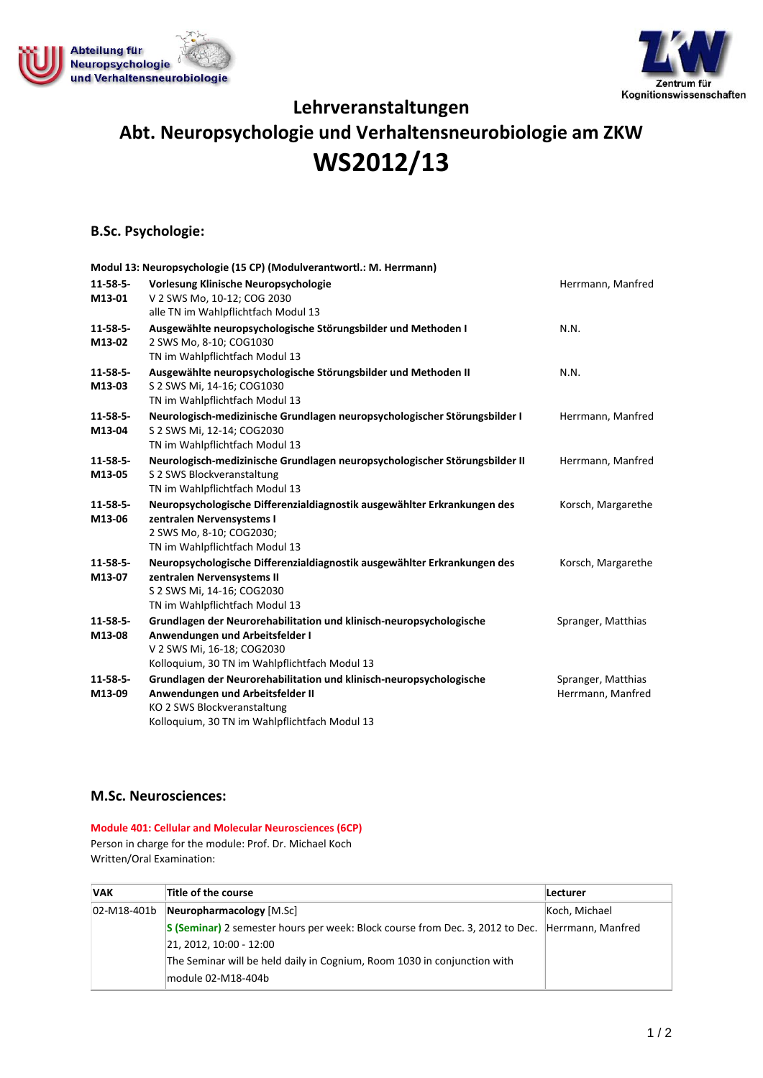



**Lehrveranstaltungen**

# **Abt. Neuropsychologie und Verhaltensneurobiologie am ZKW WS2012/13**

## **B.Sc. Psychologie:**

|                           | Modul 13: Neuropsychologie (15 CP) (Modulverantwortl.: M. Herrmann)                                                                                                                     |                                         |
|---------------------------|-----------------------------------------------------------------------------------------------------------------------------------------------------------------------------------------|-----------------------------------------|
| $11 - 58 - 5 -$<br>M13-01 | Vorlesung Klinische Neuropsychologie<br>V 2 SWS Mo, 10-12; COG 2030                                                                                                                     | Herrmann, Manfred                       |
|                           | alle TN im Wahlpflichtfach Modul 13                                                                                                                                                     |                                         |
| $11 - 58 - 5 -$<br>M13-02 | Ausgewählte neuropsychologische Störungsbilder und Methoden I<br>2 SWS Mo, 8-10; COG1030<br>TN im Wahlpflichtfach Modul 13                                                              | N.N.                                    |
| $11 - 58 - 5 -$<br>M13-03 | Ausgewählte neuropsychologische Störungsbilder und Methoden II<br>S 2 SWS Mi, 14-16; COG1030<br>TN im Wahlpflichtfach Modul 13                                                          | N.N.                                    |
| $11 - 58 - 5 -$<br>M13-04 | Neurologisch-medizinische Grundlagen neuropsychologischer Störungsbilder I<br>S 2 SWS Mi, 12-14; COG2030<br>TN im Wahlpflichtfach Modul 13                                              | Herrmann, Manfred                       |
| $11 - 58 - 5 -$<br>M13-05 | Neurologisch-medizinische Grundlagen neuropsychologischer Störungsbilder II<br>S 2 SWS Blockveranstaltung<br>TN im Wahlpflichtfach Modul 13                                             | Herrmann, Manfred                       |
| $11 - 58 - 5 -$<br>M13-06 | Neuropsychologische Differenzialdiagnostik ausgewählter Erkrankungen des<br>zentralen Nervensystems I<br>2 SWS Mo, 8-10; COG2030;<br>TN im Wahlpflichtfach Modul 13                     | Korsch, Margarethe                      |
| $11 - 58 - 5 -$<br>M13-07 | Neuropsychologische Differenzialdiagnostik ausgewählter Erkrankungen des<br>zentralen Nervensystems II<br>S 2 SWS Mi, 14-16; COG2030<br>TN im Wahlpflichtfach Modul 13                  | Korsch, Margarethe                      |
| $11 - 58 - 5 -$<br>M13-08 | Grundlagen der Neurorehabilitation und klinisch-neuropsychologische<br>Anwendungen und Arbeitsfelder I<br>V 2 SWS Mi, 16-18; COG2030<br>Kolloquium, 30 TN im Wahlpflichtfach Modul 13   | Spranger, Matthias                      |
| $11 - 58 - 5 -$<br>M13-09 | Grundlagen der Neurorehabilitation und klinisch-neuropsychologische<br>Anwendungen und Arbeitsfelder II<br>KO 2 SWS Blockveranstaltung<br>Kolloquium, 30 TN im Wahlpflichtfach Modul 13 | Spranger, Matthias<br>Herrmann, Manfred |

#### **M.Sc. Neurosciences:**

**Module 401: Cellular and Molecular Neurosciences (6CP)** Person in charge for the module: Prof. Dr. Michael Koch Written/Oral Examination:

| <b>VAK</b> | Title of the course                                                                             | <b>Lecturer</b> |
|------------|-------------------------------------------------------------------------------------------------|-----------------|
|            | $[02-M18-401b]$ Neuropharmacology $[M.Sc]$                                                      | Koch, Michael   |
|            | S (Seminar) 2 semester hours per week: Block course from Dec. 3, 2012 to Dec. Herrmann, Manfred |                 |
|            | 21, 2012, 10:00 - 12:00                                                                         |                 |
|            | The Seminar will be held daily in Cognium, Room 1030 in conjunction with                        |                 |
|            | module 02-M18-404b                                                                              |                 |